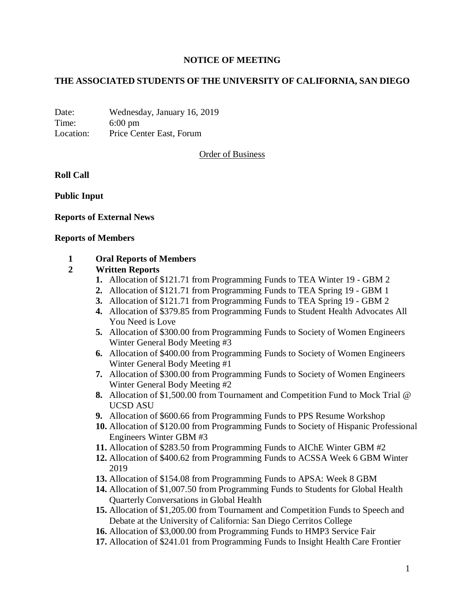## **NOTICE OF MEETING**

# **THE ASSOCIATED STUDENTS OF THE UNIVERSITY OF CALIFORNIA, SAN DIEGO**

Date: Wednesday, January 16, 2019 Time: 6:00 pm Location: Price Center East, Forum

Order of Business

**Roll Call**

**Public Input**

### **Reports of External News**

#### **Reports of Members**

### **1 Oral Reports of Members**

#### **2 Written Reports**

- **1.** Allocation of \$121.71 from Programming Funds to TEA Winter 19 GBM 2
- **2.** Allocation of \$121.71 from Programming Funds to TEA Spring 19 GBM 1
- **3.** Allocation of \$121.71 from Programming Funds to TEA Spring 19 GBM 2
- **4.** Allocation of \$379.85 from Programming Funds to Student Health Advocates All You Need is Love
- **5.** Allocation of \$300.00 from Programming Funds to Society of Women Engineers Winter General Body Meeting #3
- **6.** Allocation of \$400.00 from Programming Funds to Society of Women Engineers Winter General Body Meeting #1
- **7.** Allocation of \$300.00 from Programming Funds to Society of Women Engineers Winter General Body Meeting #2
- **8.** Allocation of \$1,500.00 from Tournament and Competition Fund to Mock Trial @ UCSD ASU
- **9.** Allocation of \$600.66 from Programming Funds to PPS Resume Workshop
- **10.** Allocation of \$120.00 from Programming Funds to Society of Hispanic Professional Engineers Winter GBM #3
- **11.** Allocation of \$283.50 from Programming Funds to AIChE Winter GBM #2
- **12.** Allocation of \$400.62 from Programming Funds to ACSSA Week 6 GBM Winter 2019
- **13.** Allocation of \$154.08 from Programming Funds to APSA: Week 8 GBM
- **14.** Allocation of \$1,007.50 from Programming Funds to Students for Global Health Quarterly Conversations in Global Health
- **15.** Allocation of \$1,205.00 from Tournament and Competition Funds to Speech and Debate at the University of California: San Diego Cerritos College
- **16.** Allocation of \$3,000.00 from Programming Funds to HMP3 Service Fair
- **17.** Allocation of \$241.01 from Programming Funds to Insight Health Care Frontier